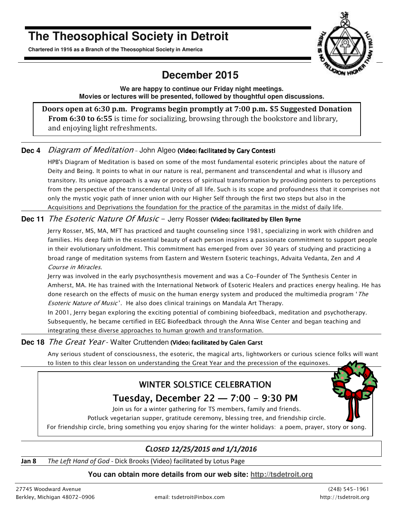# **The Theosophical Society in Detroit**

**Chartered in 1916 as a Branch of the Theosophical Society in America** 



# **December 2015**

**We are happy to continue our Friday night meetings. Movies or lectures will be presented, followed by thoughtful open discussions.** 

**Doors open at 6:30 p.m. Programs begin promptly at 7:00 p.m. \$5 Suggested Donation From 6:30 to 6:55** is time for socializing, browsing through the bookstore and library, and enjoying light refreshments.

#### Dec 4 *Diagram of Meditation* - John Algeo (Video) facilitated by Gary Contesti

HPB's Diagram of Meditation is based on some of the most fundamental esoteric principles about the nature of Deity and Being. It points to what in our nature is real, permanent and transcendental and what is illusory and transitory. Its unique approach is a way or process of spiritual transformation by providing pointers to perceptions from the perspective of the transcendental Unity of all life. Such is its scope and profoundness that it comprises not only the mystic yogic path of inner union with our Higher Self through the first two steps but also in the Acquisitions and Deprivations the foundation for the practice of the paramitas in the midst of daily life.

#### **Dec 11** The Esoteric Nature Of Music - Jerry Rosser (Video) facilitated by Ellen Byrne

Jerry Rosser, MS, MA, MFT has practiced and taught counseling since 1981, specializing in work with children and families. His deep faith in the essential beauty of each person inspires a passionate commitment to support people in their evolutionary unfoldment. This commitment has emerged from over 30 years of studying and practicing a broad range of meditation systems from Eastern and Western Esoteric teachings, Advaita Vedanta, Zen and A Course in Miracles.

Jerry was involved in the early psychosynthesis movement and was a Co-Founder of The Synthesis Center in Amherst, MA. He has trained with the International Network of Esoteric Healers and practices energy healing. He has done research on the effects of music on the human energy system and produced the multimedia program 'The **Esoteric Nature of Music'.** He also does clinical trainings on Mandala Art Therapy.

In 2001, Jerry began exploring the exciting potential of combining biofeedback, meditation and psychotherapy. Subsequently, he became certified in EEG Biofeedback through the Anna Wise Center and began teaching and integrating these diverse approaches to human growth and transformation.

#### Dec 18 The Great Year - Walter Cruttenden (Video) facilitated by Galen Garst

Any serious student of consciousness, the esoteric, the magical arts, lightworkers or curious science folks will want to listen to this clear lesson on understanding the Great Year and the precession of the equinoxes.

# WINTER SOLSTICE CELEBRATION

# Tuesday, December  $22 - 7:00 - 9:30$  PM

Join us for a winter gathering for TS members, family and friends.

Potluck vegetarian supper, gratitude ceremony, blessing tree, and friendship circle. For friendship circle, bring something you enjoy sharing for the winter holidays: a poem, prayer, story or song.

#### *CLOSED 12/25/2015 and 1/1/2016*

**Jan 8** *The Left Hand of God* - Dick Brooks (Video) facilitated by Lotus Page

#### **You can obtain more details from our web site: http://tsdetroit.org**